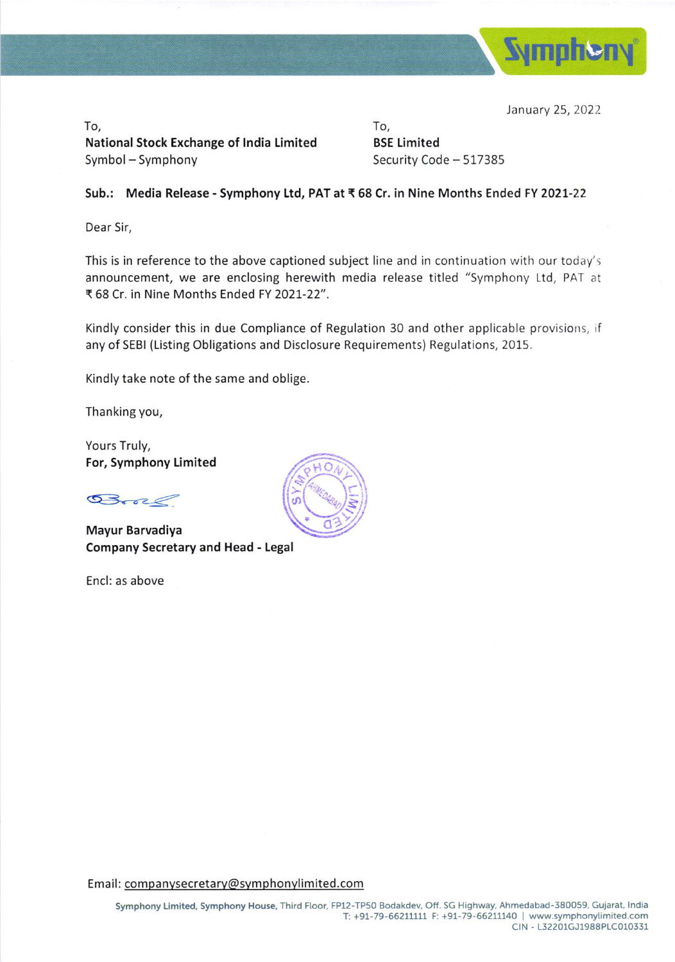

January 25, 2022

To, National Stock Exchange of India Limited Symbol - Symphony

To, BSE Limited Security Code - 517385

## Sub.: Media Release - Symphony Ltd, PAT at ₹68 Cr. in Nine Months Ended FY 2021-22

Dear Sir,

This is in reference to the above captioned subject line and in continuation with our today's announcement, we are enclosing herewith media release titled "Symphony Ltd, PAT at ₹ 68 Cr. in Nine Months Ended FY 2021-22".

Kindly consider this in due Compliance of Regulation 30 and other applicable provislons, if any of SEBI (Listing Obligations and Disclosure Requirements) Regulations, 2015.

Kindly take note of the same and oblige.

Thanking you,

Yours Truly, For, Symphony Limited

 $Brec$ 

Mayur Barvadiya Company Secretary and Head - Legal

Encl: as above

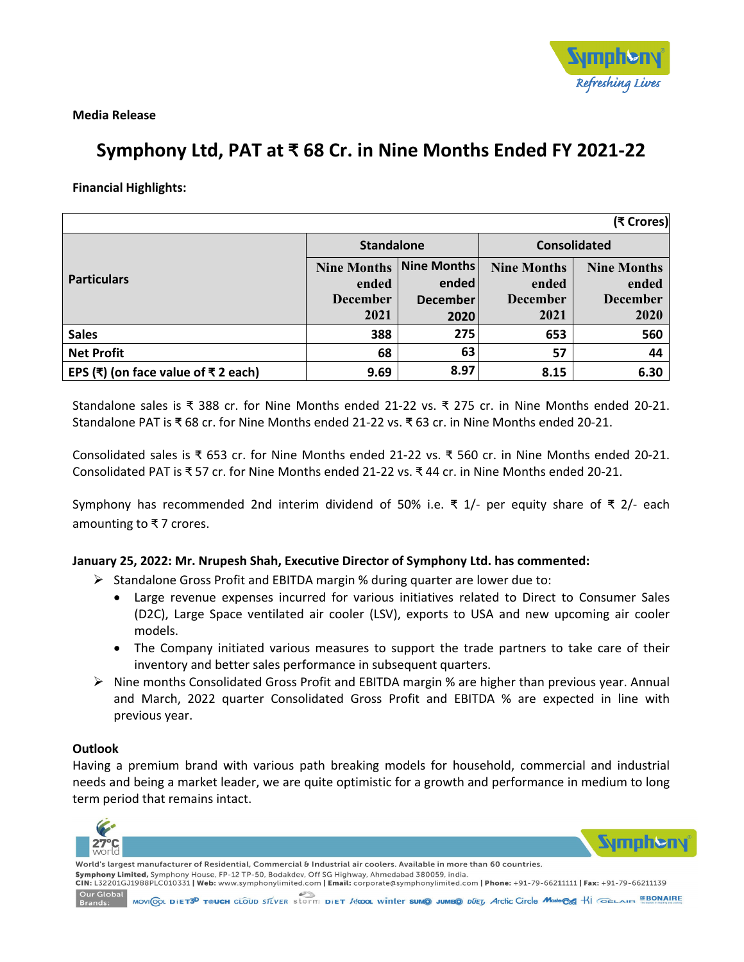

**Media Release**

# **Symphony Ltd, PAT at ₹ 68 Cr. in Nine Months Ended FY 2021‐22**

**Financial Highlights:** 

| (₹ Crores)                                          |                                |                 |                     |                    |
|-----------------------------------------------------|--------------------------------|-----------------|---------------------|--------------------|
| <b>Particulars</b>                                  | <b>Standalone</b>              |                 | <b>Consolidated</b> |                    |
|                                                     | <b>Nine Months Nine Months</b> |                 | <b>Nine Months</b>  | <b>Nine Months</b> |
|                                                     | ended                          | ended           | ended               | ended              |
|                                                     | <b>December</b>                | <b>December</b> | <b>December</b>     | <b>December</b>    |
|                                                     | 2021                           | 2020            | 2021                | 2020               |
| <b>Sales</b>                                        | 388                            | 275             | 653                 | 560                |
| <b>Net Profit</b>                                   | 68                             | 63              | 57                  | 44                 |
| EPS $(\bar{x})$ (on face value of $\bar{x}$ 2 each) | 9.69                           | 8.97            | 8.15                | 6.30               |

Standalone sales is ₹ 388 cr. for Nine Months ended 21‐22 vs. ₹ 275 cr. in Nine Months ended 20‐21. Standalone PAT is ₹ 68 cr. for Nine Months ended 21‐22 vs. ₹ 63 cr. in Nine Months ended 20‐21.

Consolidated sales is ₹ 653 cr. for Nine Months ended 21‐22 vs. ₹ 560 cr. in Nine Months ended 20‐21. Consolidated PAT is ₹ 57 cr. for Nine Months ended 21‐22 vs. ₹ 44 cr. in Nine Months ended 20‐21.

Symphony has recommended 2nd interim dividend of 50% i.e.  $\bar{x}$  1/- per equity share of  $\bar{x}$  2/- each amounting to ₹ 7 crores.

## **January 25, 2022: Mr. Nrupesh Shah, Executive Director of Symphony Ltd. has commented:**

- $\triangleright$  Standalone Gross Profit and EBITDA margin % during quarter are lower due to:
	- Large revenue expenses incurred for various initiatives related to Direct to Consumer Sales (D2C), Large Space ventilated air cooler (LSV), exports to USA and new upcoming air cooler models.
	- The Company initiated various measures to support the trade partners to take care of their inventory and better sales performance in subsequent quarters.
- $\triangleright$  Nine months Consolidated Gross Profit and EBITDA margin % are higher than previous year. Annual and March, 2022 quarter Consolidated Gross Profit and EBITDA % are expected in line with previous year.

#### **Outlook**

Having a premium brand with various path breaking models for household, commercial and industrial needs and being a market leader, we are quite optimistic for a growth and performance in medium to long term period that remains intact.